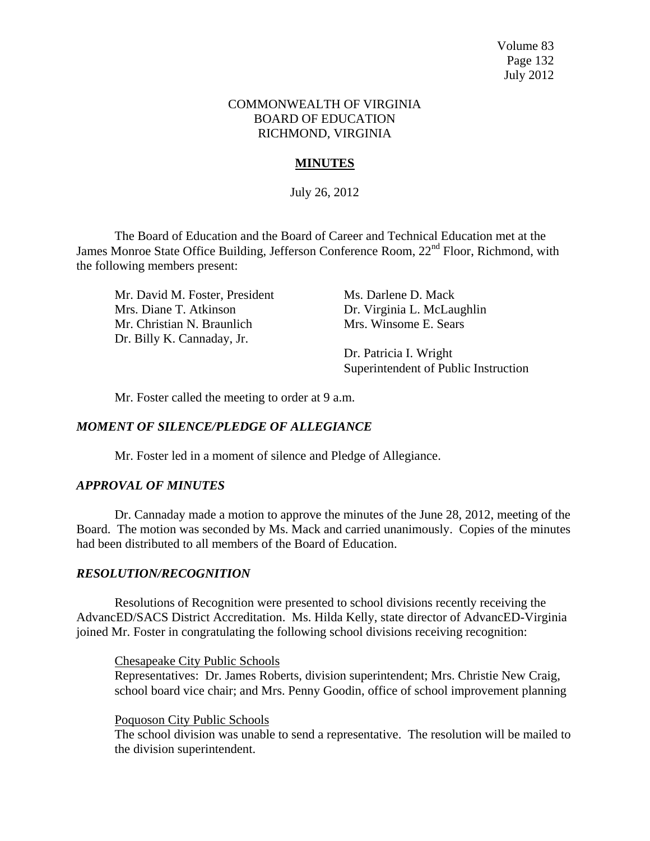Volume 83 Page 132 July 2012

### COMMONWEALTH OF VIRGINIA BOARD OF EDUCATION RICHMOND, VIRGINIA

# **MINUTES**

July 26, 2012

The Board of Education and the Board of Career and Technical Education met at the James Monroe State Office Building, Jefferson Conference Room, 22<sup>nd</sup> Floor, Richmond, with the following members present:

Mr. David M. Foster, President Ms. Darlene D. Mack Mrs. Diane T. Atkinson Dr. Virginia L. McLaughlin Mr. Christian N. Braunlich Mrs. Winsome E. Sears Dr. Billy K. Cannaday, Jr.

Dr. Patricia I. Wright Superintendent of Public Instruction

Mr. Foster called the meeting to order at 9 a.m.

# *MOMENT OF SILENCE/PLEDGE OF ALLEGIANCE*

Mr. Foster led in a moment of silence and Pledge of Allegiance.

## *APPROVAL OF MINUTES*

Dr. Cannaday made a motion to approve the minutes of the June 28, 2012, meeting of the Board. The motion was seconded by Ms. Mack and carried unanimously. Copies of the minutes had been distributed to all members of the Board of Education.

## *RESOLUTION/RECOGNITION*

Resolutions of Recognition were presented to school divisions recently receiving the AdvancED/SACS District Accreditation. Ms. Hilda Kelly, state director of AdvancED-Virginia joined Mr. Foster in congratulating the following school divisions receiving recognition:

Chesapeake City Public Schools

Representatives: Dr. James Roberts, division superintendent; Mrs. Christie New Craig, school board vice chair; and Mrs. Penny Goodin, office of school improvement planning

Poquoson City Public Schools

The school division was unable to send a representative. The resolution will be mailed to the division superintendent.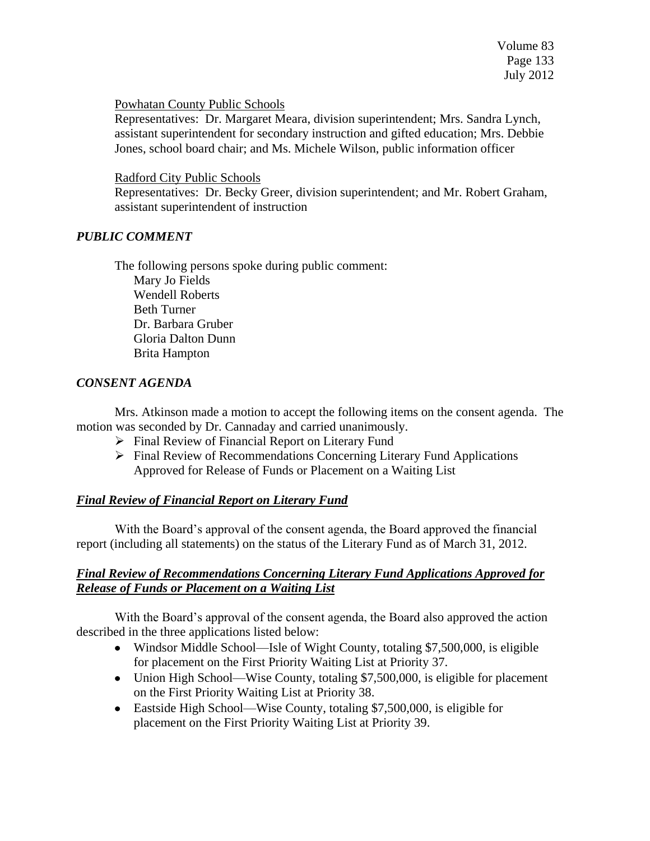## Powhatan County Public Schools

Representatives: Dr. Margaret Meara, division superintendent; Mrs. Sandra Lynch, assistant superintendent for secondary instruction and gifted education; Mrs. Debbie Jones, school board chair; and Ms. Michele Wilson, public information officer

# Radford City Public Schools

Representatives: Dr. Becky Greer, division superintendent; and Mr. Robert Graham, assistant superintendent of instruction

# *PUBLIC COMMENT*

The following persons spoke during public comment: Mary Jo Fields Wendell Roberts Beth Turner Dr. Barbara Gruber Gloria Dalton Dunn Brita Hampton

# *CONSENT AGENDA*

Mrs. Atkinson made a motion to accept the following items on the consent agenda. The motion was seconded by Dr. Cannaday and carried unanimously.

- $\triangleright$  Final Review of Financial Report on Literary Fund
- $\triangleright$  Final Review of Recommendations Concerning Literary Fund Applications Approved for Release of Funds or Placement on a Waiting List

# *Final Review of Financial Report on Literary Fund*

With the Board's approval of the consent agenda, the Board approved the financial report (including all statements) on the status of the Literary Fund as of March 31, 2012.

# *Final Review of Recommendations Concerning Literary Fund Applications Approved for Release of Funds or Placement on a Waiting List*

With the Board's approval of the consent agenda, the Board also approved the action described in the three applications listed below:

- Windsor Middle School—Isle of Wight County, totaling \$7,500,000, is eligible for placement on the First Priority Waiting List at Priority 37.
- Union High School—Wise County, totaling \$7,500,000, is eligible for placement on the First Priority Waiting List at Priority 38.
- Eastside High School—Wise County, totaling \$7,500,000, is eligible for placement on the First Priority Waiting List at Priority 39.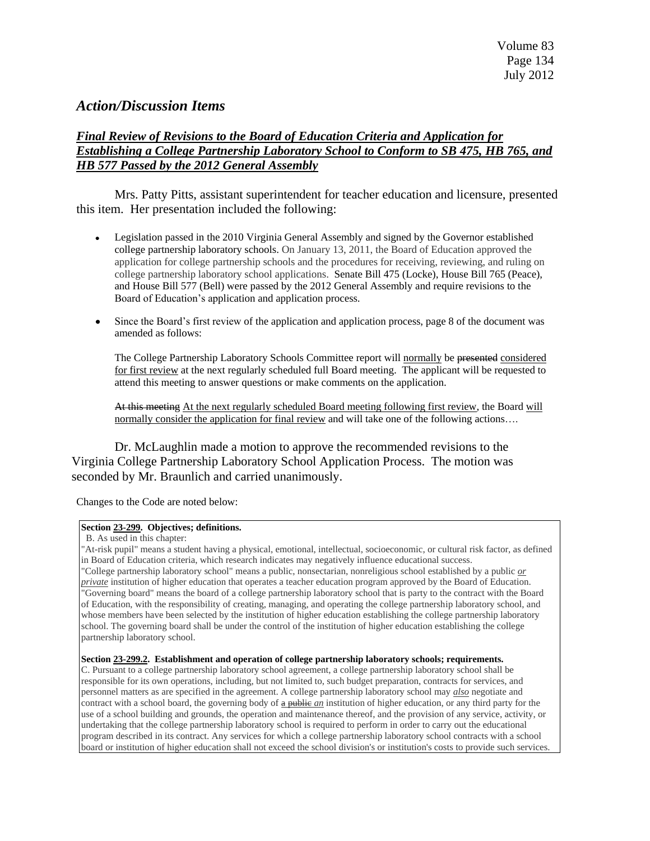# *Action/Discussion Items*

# *Final Review of Revisions to the Board of Education Criteria and Application for Establishing a College Partnership Laboratory School to Conform to SB 475, HB 765, and HB 577 Passed by the 2012 General Assembly*

Mrs. Patty Pitts, assistant superintendent for teacher education and licensure, presented this item. Her presentation included the following:

- Legislation passed in the 2010 Virginia General Assembly and signed by the Governor established college partnership laboratory schools. On January 13, 2011, the Board of Education approved the application for college partnership schools and the procedures for receiving, reviewing, and ruling on college partnership laboratory school applications. Senate Bill 475 (Locke), House Bill 765 (Peace), and House Bill 577 (Bell) were passed by the 2012 General Assembly and require revisions to the Board of Education's application and application process.
- Since the Board's first review of the application and application process, page 8 of the document was amended as follows:

The College Partnership Laboratory Schools Committee report will normally be presented considered for first review at the next regularly scheduled full Board meeting. The applicant will be requested to attend this meeting to answer questions or make comments on the application.

At this meeting At the next regularly scheduled Board meeting following first review, the Board will normally consider the application for final review and will take one of the following actions....

Dr. McLaughlin made a motion to approve the recommended revisions to the Virginia College Partnership Laboratory School Application Process. The motion was seconded by Mr. Braunlich and carried unanimously.

Changes to the Code are noted below:

#### **Sectio[n 23-299.](http://lis.virginia.gov/cgi-bin/legp604.exe?000+cod+23-299) Objectives; definitions.**

B. As used in this chapter:

"At-risk pupil" means a student having a physical, emotional, intellectual, socioeconomic, or cultural risk factor, as defined in Board of Education criteria, which research indicates may negatively influence educational success. "College partnership laboratory school" means a public, nonsectarian, nonreligious school established by a public *or private* institution of higher education that operates a teacher education program approved by the Board of Education. "Governing board" means the board of a college partnership laboratory school that is party to the contract with the Board of Education, with the responsibility of creating, managing, and operating the college partnership laboratory school, and whose members have been selected by the institution of higher education establishing the college partnership laboratory school. The governing board shall be under the control of the institution of higher education establishing the college partnership laboratory school.

#### **Section [23-299.2.](http://lis.virginia.gov/cgi-bin/legp604.exe?000+cod+23-299.2) Establishment and operation of college partnership laboratory schools; requirements.**

C. Pursuant to a college partnership laboratory school agreement, a college partnership laboratory school shall be responsible for its own operations, including, but not limited to, such budget preparation, contracts for services, and personnel matters as are specified in the agreement. A college partnership laboratory school may *also* negotiate and contract with a school board, the governing body of  $\theta$  public *an* institution of higher education, or any third party for the use of a school building and grounds, the operation and maintenance thereof, and the provision of any service, activity, or undertaking that the college partnership laboratory school is required to perform in order to carry out the educational program described in its contract. Any services for which a college partnership laboratory school contracts with a school board or institution of higher education shall not exceed the school division's or institution's costs to provide such services.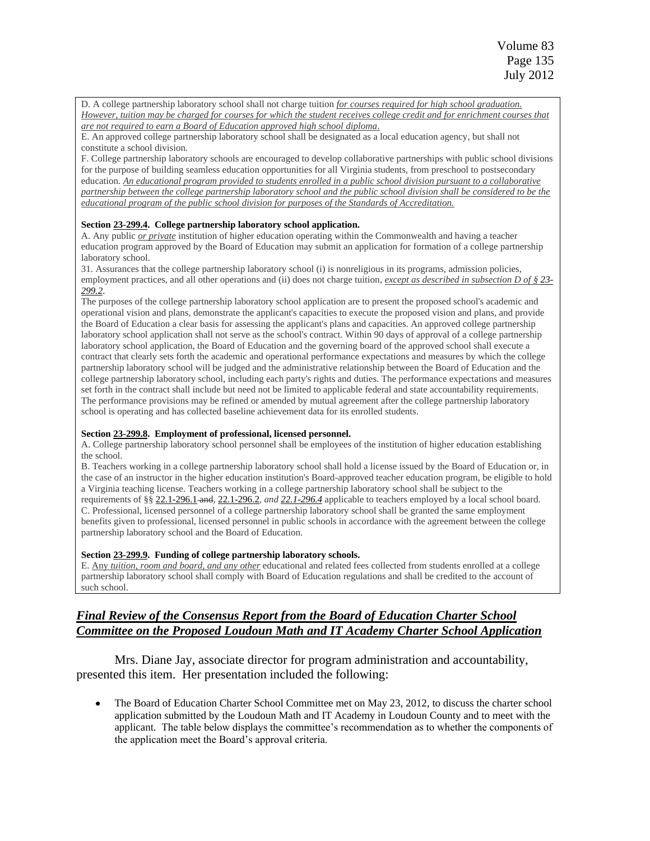D. A college partnership laboratory school shall not charge tuition *for courses required for high school graduation. However, tuition may be charged for courses for which the student receives college credit and for enrichment courses that are not required to earn a Board of Education approved high school diploma*.

E. An approved college partnership laboratory school shall be designated as a local education agency, but shall not constitute a school division.

F. College partnership laboratory schools are encouraged to develop collaborative partnerships with public school divisions for the purpose of building seamless education opportunities for all Virginia students, from preschool to postsecondary education. *An educational program provided to students enrolled in a public school division pursuant to a collaborative partnership between the college partnership laboratory school and the public school division shall be considered to be the educational program of the public school division for purposes of the Standards of Accreditation.*

#### **Section [23-299.4.](http://lis.virginia.gov/cgi-bin/legp604.exe?000+cod+23-299.4) College partnership laboratory school application.**

A. Any public *or private* institution of higher education operating within the Commonwealth and having a teacher education program approved by the Board of Education may submit an application for formation of a college partnership laboratory school.

31. Assurances that the college partnership laboratory school (i) is nonreligious in its programs, admission policies, employment practices, and all other operations and (ii) does not charge tuition*, except as described in subsection D of § [23-](http://lis.virginia.gov/cgi-bin/legp604.exe?000+cod+23-299.2) [299.2](http://lis.virginia.gov/cgi-bin/legp604.exe?000+cod+23-299.2)*.

The purposes of the college partnership laboratory school application are to present the proposed school's academic and operational vision and plans, demonstrate the applicant's capacities to execute the proposed vision and plans, and provide the Board of Education a clear basis for assessing the applicant's plans and capacities. An approved college partnership laboratory school application shall not serve as the school's contract. Within 90 days of approval of a college partnership laboratory school application, the Board of Education and the governing board of the approved school shall execute a contract that clearly sets forth the academic and operational performance expectations and measures by which the college partnership laboratory school will be judged and the administrative relationship between the Board of Education and the college partnership laboratory school, including each party's rights and duties. The performance expectations and measures set forth in the contract shall include but need not be limited to applicable federal and state accountability requirements. The performance provisions may be refined or amended by mutual agreement after the college partnership laboratory school is operating and has collected baseline achievement data for its enrolled students.

#### **Sectio[n 23-299.8.](http://lis.virginia.gov/cgi-bin/legp604.exe?000+cod+23-299.8) Employment of professional, licensed personnel.**

A. College partnership laboratory school personnel shall be employees of the institution of higher education establishing the school.

B. Teachers working in a college partnership laboratory school shall hold a license issued by the Board of Education or, in the case of an instructor in the higher education institution's Board-approved teacher education program, be eligible to hold a Virginia teaching license. Teachers working in a college partnership laboratory school shall be subject to the requirements of §[§ 22.1-296.1](http://lis.virginia.gov/cgi-bin/legp604.exe?000+cod+22.1-296.1) and*,* [22.1-296.2](http://lis.virginia.gov/cgi-bin/legp604.exe?000+cod+22.1-296.2)*, an[d 22.1-296.4](http://lis.virginia.gov/cgi-bin/legp604.exe?000+cod+22.1-296.4)* applicable to teachers employed by a local school board. C. Professional, licensed personnel of a college partnership laboratory school shall be granted the same employment benefits given to professional, licensed personnel in public schools in accordance with the agreement between the college partnership laboratory school and the Board of Education.

#### **Section [23-299.9.](http://lis.virginia.gov/cgi-bin/legp604.exe?000+cod+23-299.9) Funding of college partnership laboratory schools.**

E. Any *tuition, room and board, and any other* educational and related fees collected from students enrolled at a college partnership laboratory school shall comply with Board of Education regulations and shall be credited to the account of such school.

## *Final Review of the Consensus Report from the Board of Education Charter School Committee on the Proposed Loudoun Math and IT Academy Charter School Application*

Mrs. Diane Jay, associate director for program administration and accountability, presented this item. Her presentation included the following:

The Board of Education Charter School Committee met on May 23, 2012, to discuss the charter school application submitted by the Loudoun Math and IT Academy in Loudoun County and to meet with the applicant. The table below displays the committee's recommendation as to whether the components of the application meet the Board's approval criteria.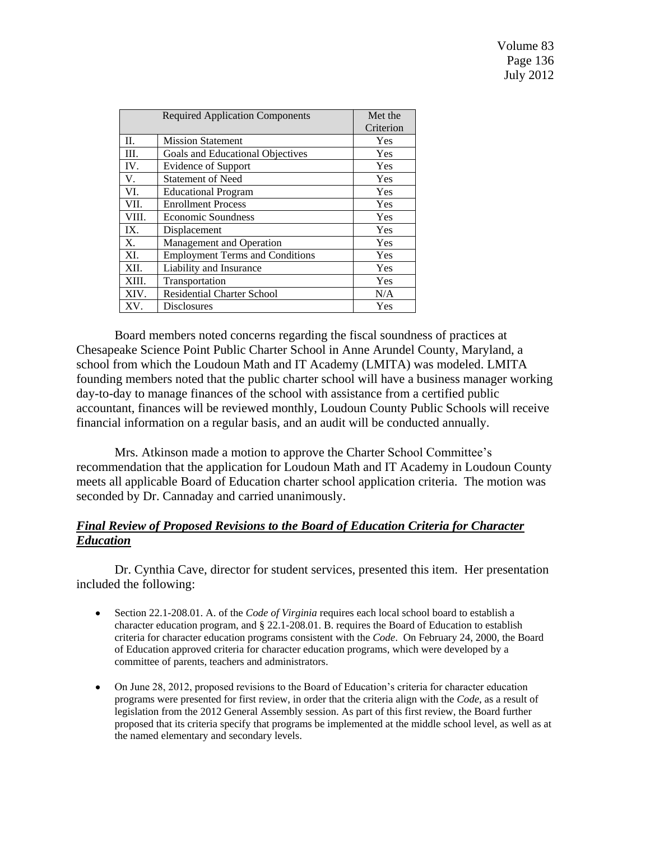Volume 83 Page 136 July 2012

|             | <b>Required Application Components</b> | Met the   |
|-------------|----------------------------------------|-----------|
|             |                                        | Criterion |
| П.          | <b>Mission Statement</b>               | Yes       |
| III.        | Goals and Educational Objectives       | Yes       |
| IV.         | Evidence of Support                    | Yes       |
| V.          | <b>Statement of Need</b>               | Yes       |
| VI.         | <b>Educational Program</b>             | Yes       |
| VII.        | <b>Enrollment Process</b>              | Yes       |
| VIII.       | <b>Economic Soundness</b>              | Yes       |
| IX.         | Displacement                           | Yes       |
| $X_{\cdot}$ | Management and Operation               | Yes       |
| XI.         | <b>Employment Terms and Conditions</b> | Yes       |
| XII.        | Liability and Insurance                | Yes       |
| XIII.       | Transportation                         | Yes       |
| XIV.        | <b>Residential Charter School</b>      | N/A       |
| XV.         | <b>Disclosures</b>                     | Yes       |

Board members noted concerns regarding the fiscal soundness of practices at Chesapeake Science Point Public Charter School in Anne Arundel County, Maryland, a school from which the Loudoun Math and IT Academy (LMITA) was modeled. LMITA founding members noted that the public charter school will have a business manager working day-to-day to manage finances of the school with assistance from a certified public accountant, finances will be reviewed monthly, Loudoun County Public Schools will receive financial information on a regular basis, and an audit will be conducted annually.

Mrs. Atkinson made a motion to approve the Charter School Committee's recommendation that the application for Loudoun Math and IT Academy in Loudoun County meets all applicable Board of Education charter school application criteria. The motion was seconded by Dr. Cannaday and carried unanimously.

## *Final Review of Proposed Revisions to the Board of Education Criteria for Character Education*

Dr. Cynthia Cave, director for student services, presented this item. Her presentation included the following:

- Section 22.1-208.01. A. of the *Code of Virginia* requires each local school board to establish a  $\bullet$ character education program, and § 22.1-208.01. B. requires the Board of Education to establish criteria for character education programs consistent with the *Code*. On February 24, 2000, the Board of Education approved criteria for character education programs, which were developed by a committee of parents, teachers and administrators.
- On June 28, 2012, proposed revisions to the Board of Education's criteria for character education programs were presented for first review, in order that the criteria align with the *Code*, as a result of legislation from the 2012 General Assembly session. As part of this first review, the Board further proposed that its criteria specify that programs be implemented at the middle school level, as well as at the named elementary and secondary levels.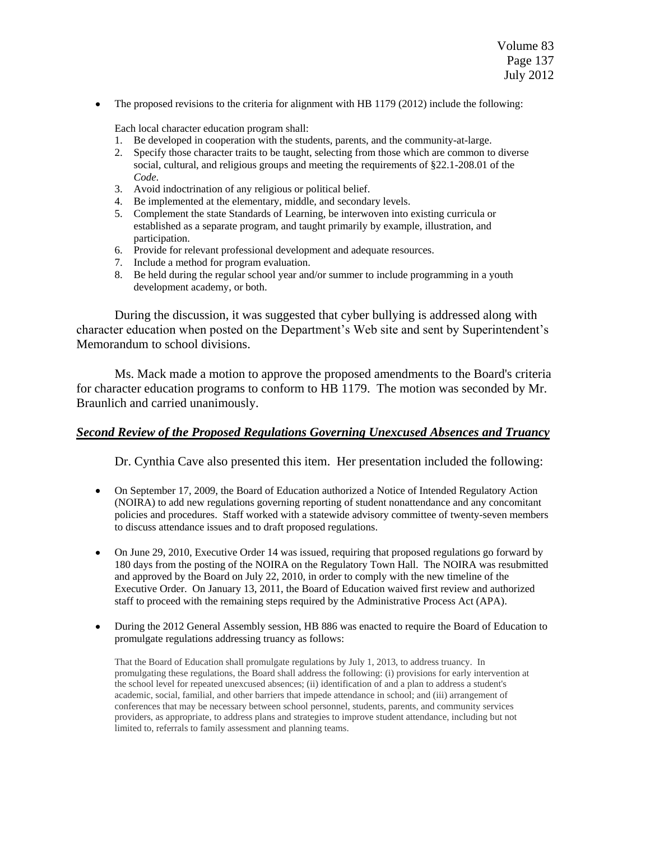Volume 83 Page 137 July 2012

The proposed revisions to the criteria for alignment with HB 1179 (2012) include the following:

Each local character education program shall:

- 1. Be developed in cooperation with the students, parents, and the community-at-large.
- 2. Specify those character traits to be taught, selecting from those which are common to diverse social, cultural, and religious groups and meeting the requirements of §22.1-208.01 of the *Code*.
- 3. Avoid indoctrination of any religious or political belief.
- 4. Be implemented at the elementary, middle, and secondary levels.
- 5. Complement the state Standards of Learning, be interwoven into existing curricula or established as a separate program, and taught primarily by example, illustration, and participation.
- 6. Provide for relevant professional development and adequate resources.
- 7. Include a method for program evaluation.
- 8. Be held during the regular school year and/or summer to include programming in a youth development academy, or both.

During the discussion, it was suggested that cyber bullying is addressed along with character education when posted on the Department's Web site and sent by Superintendent's Memorandum to school divisions.

Ms. Mack made a motion to approve the proposed amendments to the Board's criteria for character education programs to conform to HB 1179. The motion was seconded by Mr. Braunlich and carried unanimously.

### *Second Review of the Proposed Regulations Governing Unexcused Absences and Truancy*

Dr. Cynthia Cave also presented this item. Her presentation included the following:

- On September 17, 2009, the Board of Education authorized a Notice of Intended Regulatory Action  $\bullet$ (NOIRA) to add new regulations governing reporting of student nonattendance and any concomitant policies and procedures. Staff worked with a statewide advisory committee of twenty-seven members to discuss attendance issues and to draft proposed regulations.
- On June 29, 2010, Executive Order 14 was issued, requiring that proposed regulations go forward by 180 days from the posting of the NOIRA on the Regulatory Town Hall. The NOIRA was resubmitted and approved by the Board on July 22, 2010, in order to comply with the new timeline of the Executive Order. On January 13, 2011, the Board of Education waived first review and authorized staff to proceed with the remaining steps required by the Administrative Process Act (APA).
- During the 2012 General Assembly session, HB 886 was enacted to require the Board of Education to promulgate regulations addressing truancy as follows:

That the Board of Education shall promulgate regulations by July 1, 2013, to address truancy. In promulgating these regulations, the Board shall address the following: (i) provisions for early intervention at the school level for repeated unexcused absences; (ii) identification of and a plan to address a student's academic, social, familial, and other barriers that impede attendance in school; and (iii) arrangement of conferences that may be necessary between school personnel, students, parents, and community services providers, as appropriate, to address plans and strategies to improve student attendance, including but not limited to, referrals to family assessment and planning teams.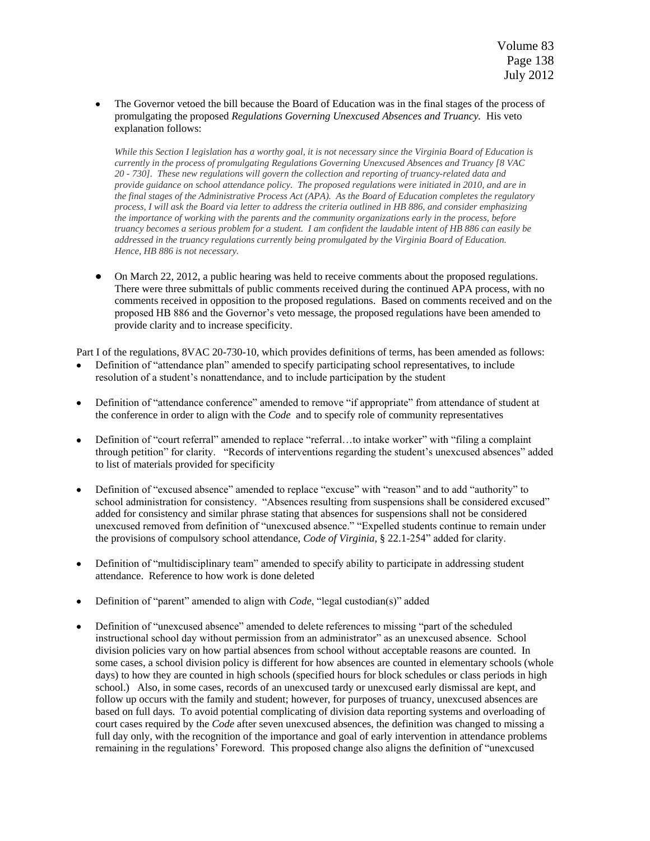The Governor vetoed the bill because the Board of Education was in the final stages of the process of promulgating the proposed *Regulations Governing Unexcused Absences and Truancy.* His veto explanation follows:

*While this Section I legislation has a worthy goal, it is not necessary since the Virginia Board of Education is currently in the process of promulgating Regulations Governing Unexcused Absences and Truancy [8 VAC 20 - 730]. These new regulations will govern the collection and reporting of truancy-related data and provide guidance on school attendance policy. The proposed regulations were initiated in 2010, and are in the final stages of the Administrative Process Act (APA). As the Board of Education completes the regulatory process, I will ask the Board via letter to address the criteria outlined in HB 886, and consider emphasizing the importance of working with the parents and the community organizations early in the process, before truancy becomes a serious problem for a student. I am confident the laudable intent of HB 886 can easily be addressed in the truancy regulations currently being promulgated by the Virginia Board of Education. Hence, HB 886 is not necessary.*

On March 22, 2012, a public hearing was held to receive comments about the proposed regulations. There were three submittals of public comments received during the continued APA process, with no comments received in opposition to the proposed regulations. Based on comments received and on the proposed HB 886 and the Governor's veto message, the proposed regulations have been amended to provide clarity and to increase specificity.

Part I of the regulations, 8VAC 20-730-10, which provides definitions of terms, has been amended as follows:

- Definition of "attendance plan" amended to specify participating school representatives, to include resolution of a student's nonattendance, and to include participation by the student
- Definition of "attendance conference" amended to remove "if appropriate" from attendance of student at the conference in order to align with the *Code* and to specify role of community representatives
- Definition of "court referral" amended to replace "referral...to intake worker" with "filing a complaint" through petition" for clarity. "Records of interventions regarding the student's unexcused absences" added to list of materials provided for specificity
- Definition of "excused absence" amended to replace "excuse" with "reason" and to add "authority" to school administration for consistency. "Absences resulting from suspensions shall be considered excused" added for consistency and similar phrase stating that absences for suspensions shall not be considered unexcused removed from definition of "unexcused absence." "Expelled students continue to remain under the provisions of compulsory school attendance, *Code of Virginia,* § 22.1-254‖ added for clarity.
- Definition of "multidisciplinary team" amended to specify ability to participate in addressing student attendance. Reference to how work is done deleted
- Definition of "parent" amended to align with *Code*, "legal custodian(s)" added
- Definition of "unexcused absence" amended to delete references to missing "part of the scheduled instructional school day without permission from an administrator" as an unexcused absence. School division policies vary on how partial absences from school without acceptable reasons are counted. In some cases, a school division policy is different for how absences are counted in elementary schools (whole days) to how they are counted in high schools (specified hours for block schedules or class periods in high school.) Also, in some cases, records of an unexcused tardy or unexcused early dismissal are kept, and follow up occurs with the family and student; however, for purposes of truancy, unexcused absences are based on full days. To avoid potential complicating of division data reporting systems and overloading of court cases required by the *Code* after seven unexcused absences, the definition was changed to missing a full day only, with the recognition of the importance and goal of early intervention in attendance problems remaining in the regulations' Foreword. This proposed change also aligns the definition of "unexcused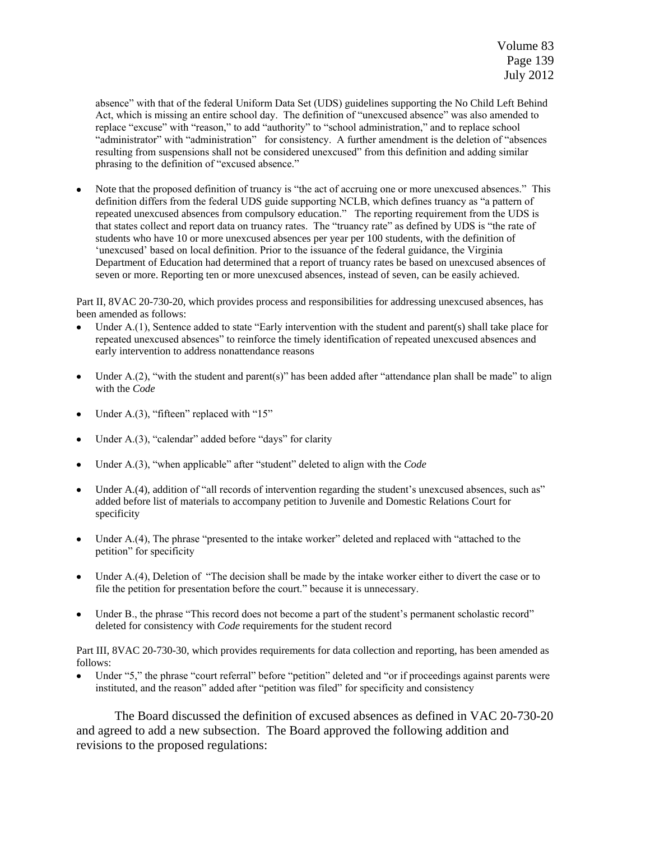absence" with that of the federal Uniform Data Set (UDS) guidelines supporting the No Child Left Behind Act, which is missing an entire school day. The definition of "unexcused absence" was also amended to replace "excuse" with "reason," to add "authority" to "school administration," and to replace school "administrator" with "administration" for consistency. A further amendment is the deletion of "absences resulting from suspensions shall not be considered unexcused" from this definition and adding similar phrasing to the definition of "excused absence."

Note that the proposed definition of truancy is "the act of accruing one or more unexcused absences." This definition differs from the federal UDS guide supporting NCLB, which defines truancy as "a pattern of repeated unexcused absences from compulsory education." The reporting requirement from the UDS is that states collect and report data on truancy rates. The "truancy rate" as defined by UDS is "the rate of students who have 10 or more unexcused absences per year per 100 students, with the definition of ‗unexcused' based on local definition. Prior to the issuance of the federal guidance, the Virginia Department of Education had determined that a report of truancy rates be based on unexcused absences of seven or more. Reporting ten or more unexcused absences, instead of seven, can be easily achieved.

Part II, 8VAC 20-730-20, which provides process and responsibilities for addressing unexcused absences, has been amended as follows:

- Under  $A(1)$ , Sentence added to state "Early intervention with the student and parent(s) shall take place for repeated unexcused absences" to reinforce the timely identification of repeated unexcused absences and early intervention to address nonattendance reasons
- Under A.(2), "with the student and parent(s)" has been added after "attendance plan shall be made" to align  $\bullet$ with the *Code*
- Under A. $(3)$ , "fifteen" replaced with " $15$ "
- Under A. $(3)$ , "calendar" added before "days" for clarity
- Under A.(3), "when applicable" after "student" deleted to align with the *Code*
- Under A.(4), addition of "all records of intervention regarding the student's unexcused absences, such as" added before list of materials to accompany petition to Juvenile and Domestic Relations Court for specificity
- Under  $A(4)$ , The phrase "presented to the intake worker" deleted and replaced with "attached to the petition" for specificity
- Under A.(4), Deletion of "The decision shall be made by the intake worker either to divert the case or to file the petition for presentation before the court." because it is unnecessary.
- Under B., the phrase "This record does not become a part of the student's permanent scholastic record" deleted for consistency with *Code* requirements for the student record

Part III, 8VAC 20-730-30, which provides requirements for data collection and reporting, has been amended as follows:

Under "5," the phrase "court referral" before "petition" deleted and "or if proceedings against parents were instituted, and the reason" added after "petition was filed" for specificity and consistency

The Board discussed the definition of excused absences as defined in VAC 20-730-20 and agreed to add a new subsection. The Board approved the following addition and revisions to the proposed regulations: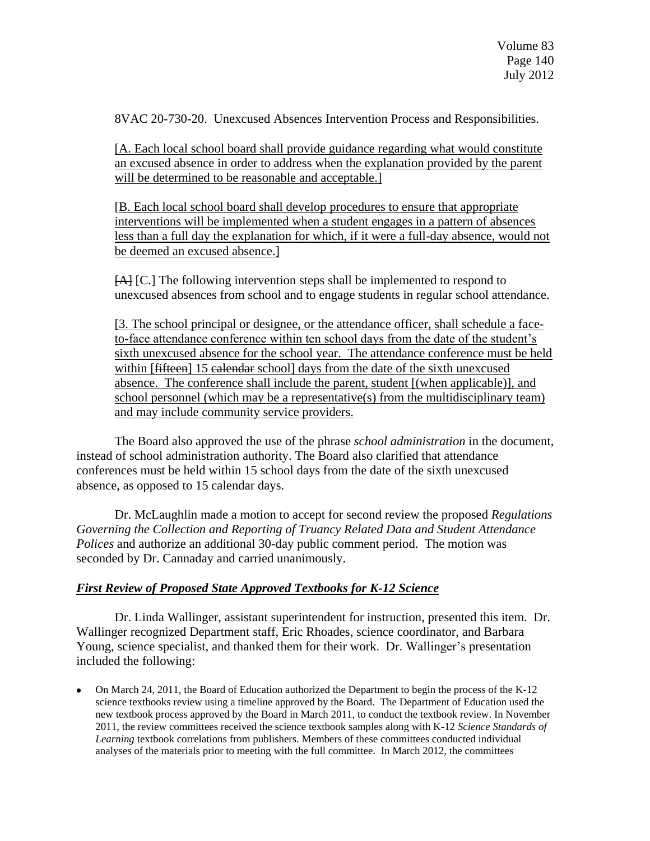8VAC 20-730-20. Unexcused Absences Intervention Process and Responsibilities.

[A. Each local school board shall provide guidance regarding what would constitute an excused absence in order to address when the explanation provided by the parent will be determined to be reasonable and acceptable.

[B. Each local school board shall develop procedures to ensure that appropriate interventions will be implemented when a student engages in a pattern of absences less than a full day the explanation for which, if it were a full-day absence, would not be deemed an excused absence.]

[A] [C.] The following intervention steps shall be implemented to respond to unexcused absences from school and to engage students in regular school attendance.

[3. The school principal or designee, or the attendance officer, shall schedule a faceto-face attendance conference within ten school days from the date of the student's sixth unexcused absence for the school year. The attendance conference must be held within [fifteen] 15 calendar school] days from the date of the sixth unexcused absence. The conference shall include the parent, student [(when applicable)], and school personnel (which may be a representative(s) from the multidisciplinary team) and may include community service providers.

The Board also approved the use of the phrase *school administration* in the document, instead of school administration authority. The Board also clarified that attendance conferences must be held within 15 school days from the date of the sixth unexcused absence, as opposed to 15 calendar days.

Dr. McLaughlin made a motion to accept for second review the proposed *Regulations Governing the Collection and Reporting of Truancy Related Data and Student Attendance Polices* and authorize an additional 30-day public comment period. The motion was seconded by Dr. Cannaday and carried unanimously.

## *First Review of Proposed State Approved Textbooks for K-12 Science*

Dr. Linda Wallinger, assistant superintendent for instruction, presented this item. Dr. Wallinger recognized Department staff, Eric Rhoades, science coordinator, and Barbara Young, science specialist, and thanked them for their work. Dr. Wallinger's presentation included the following:

On March 24, 2011, the Board of Education authorized the Department to begin the process of the K-12 science textbooks review using a timeline approved by the Board. The Department of Education used the new textbook process approved by the Board in March 2011, to conduct the textbook review. In November 2011, the review committees received the science textbook samples along with K-12 *Science Standards of Learning* textbook correlations from publishers. Members of these committees conducted individual analyses of the materials prior to meeting with the full committee. In March 2012, the committees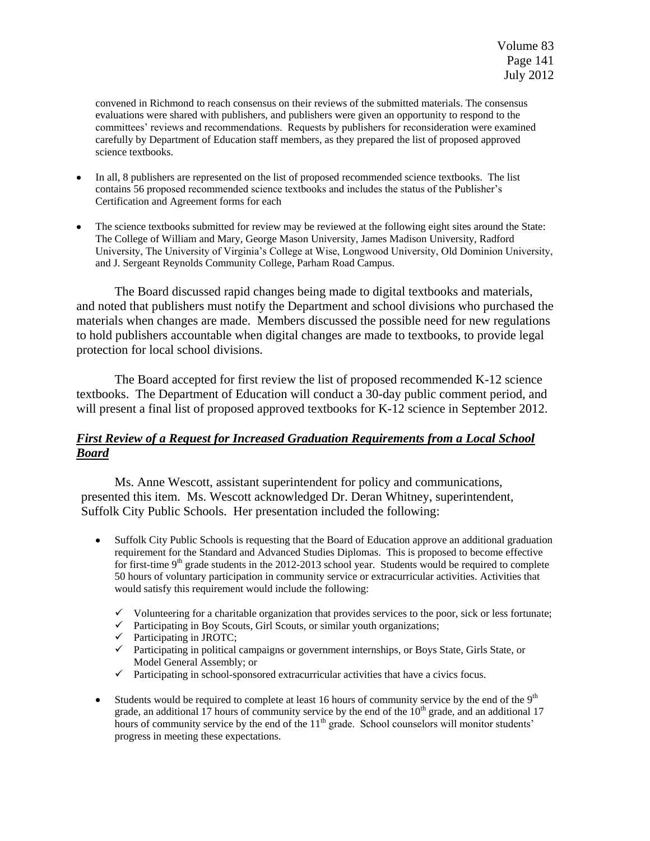convened in Richmond to reach consensus on their reviews of the submitted materials. The consensus evaluations were shared with publishers, and publishers were given an opportunity to respond to the committees' reviews and recommendations. Requests by publishers for reconsideration were examined carefully by Department of Education staff members, as they prepared the list of proposed approved science textbooks.

- In all, 8 publishers are represented on the list of proposed recommended science textbooks. The list contains 56 proposed recommended science textbooks and includes the status of the Publisher's Certification and Agreement forms for each
- The science textbooks submitted for review may be reviewed at the following eight sites around the State: The College of William and Mary, George Mason University, James Madison University, Radford University, The University of Virginia's College at Wise, Longwood University, Old Dominion University, and J. Sergeant Reynolds Community College, Parham Road Campus.

The Board discussed rapid changes being made to digital textbooks and materials, and noted that publishers must notify the Department and school divisions who purchased the materials when changes are made. Members discussed the possible need for new regulations to hold publishers accountable when digital changes are made to textbooks, to provide legal protection for local school divisions.

The Board accepted for first review the list of proposed recommended K-12 science textbooks. The Department of Education will conduct a 30-day public comment period, and will present a final list of proposed approved textbooks for K-12 science in September 2012.

# *First Review of a Request for Increased Graduation Requirements from a Local School Board*

Ms. Anne Wescott, assistant superintendent for policy and communications, presented this item. Ms. Wescott acknowledged Dr. Deran Whitney, superintendent, Suffolk City Public Schools. Her presentation included the following:

- Suffolk City Public Schools is requesting that the Board of Education approve an additional graduation requirement for the Standard and Advanced Studies Diplomas. This is proposed to become effective for first-time  $9<sup>th</sup>$  grade students in the 2012-2013 school year. Students would be required to complete 50 hours of voluntary participation in community service or extracurricular activities. Activities that would satisfy this requirement would include the following:
	- $\checkmark$  Volunteering for a charitable organization that provides services to the poor, sick or less fortunate;
	- $\checkmark$  Participating in Boy Scouts, Girl Scouts, or similar youth organizations;
	- $\checkmark$  Participating in JROTC;
	- $\checkmark$  Participating in political campaigns or government internships, or Boys State, Girls State, or Model General Assembly; or
	- $\checkmark$  Participating in school-sponsored extracurricular activities that have a civics focus.
- Students would be required to complete at least 16 hours of community service by the end of the  $9<sup>th</sup>$ grade, an additional 17 hours of community service by the end of the  $10<sup>th</sup>$  grade, and an additional 17 hours of community service by the end of the  $11<sup>th</sup>$  grade. School counselors will monitor students' progress in meeting these expectations.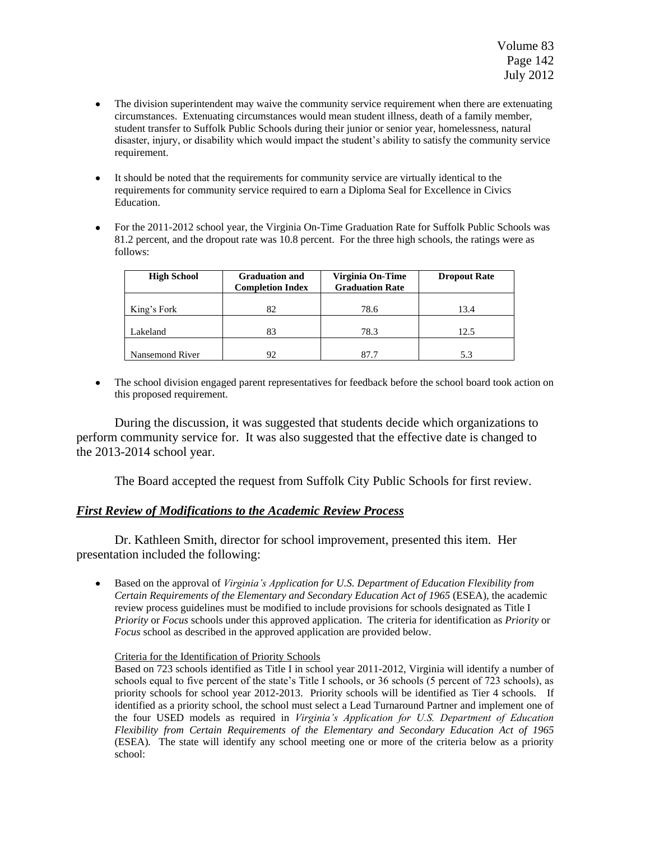- The division superintendent may waive the community service requirement when there are extenuating circumstances. Extenuating circumstances would mean student illness, death of a family member, student transfer to Suffolk Public Schools during their junior or senior year, homelessness, natural disaster, injury, or disability which would impact the student's ability to satisfy the community service requirement.
- It should be noted that the requirements for community service are virtually identical to the requirements for community service required to earn a Diploma Seal for Excellence in Civics Education.
- For the 2011-2012 school year, the Virginia On-Time Graduation Rate for Suffolk Public Schools was 81.2 percent, and the dropout rate was 10.8 percent. For the three high schools, the ratings were as follows:

| <b>High School</b> | <b>Graduation and</b><br><b>Completion Index</b> | Virginia On-Time<br><b>Graduation Rate</b> | <b>Dropout Rate</b> |
|--------------------|--------------------------------------------------|--------------------------------------------|---------------------|
| King's Fork        | 82                                               | 78.6                                       | 13.4                |
| Lakeland           | 83                                               | 78.3                                       | 12.5                |
| Nansemond River    | 92                                               | 87.7                                       | 5.3                 |

The school division engaged parent representatives for feedback before the school board took action on  $\bullet$ this proposed requirement.

During the discussion, it was suggested that students decide which organizations to perform community service for. It was also suggested that the effective date is changed to the 2013-2014 school year.

The Board accepted the request from Suffolk City Public Schools for first review.

## *First Review of Modifications to the Academic Review Process*

Dr. Kathleen Smith, director for school improvement, presented this item. Her presentation included the following:

Based on the approval of *Virginia's Application for U.S. Department of Education Flexibility from*   $\bullet$ *Certain Requirements of the Elementary and Secondary Education Act of 1965* (ESEA), the academic review process guidelines must be modified to include provisions for schools designated as Title I *Priority* or *Focus* schools under this approved application. The criteria for identification as *Priority* or *Focus* school as described in the approved application are provided below.

#### Criteria for the Identification of Priority Schools

Based on 723 schools identified as Title I in school year 2011-2012, Virginia will identify a number of schools equal to five percent of the state's Title I schools, or 36 schools (5 percent of 723 schools), as priority schools for school year 2012-2013. Priority schools will be identified as Tier 4 schools. If identified as a priority school, the school must select a Lead Turnaround Partner and implement one of the four USED models as required in *Virginia's Application for U.S. Department of Education Flexibility from Certain Requirements of the Elementary and Secondary Education Act of 1965*  (ESEA)*.* The state will identify any school meeting one or more of the criteria below as a priority school: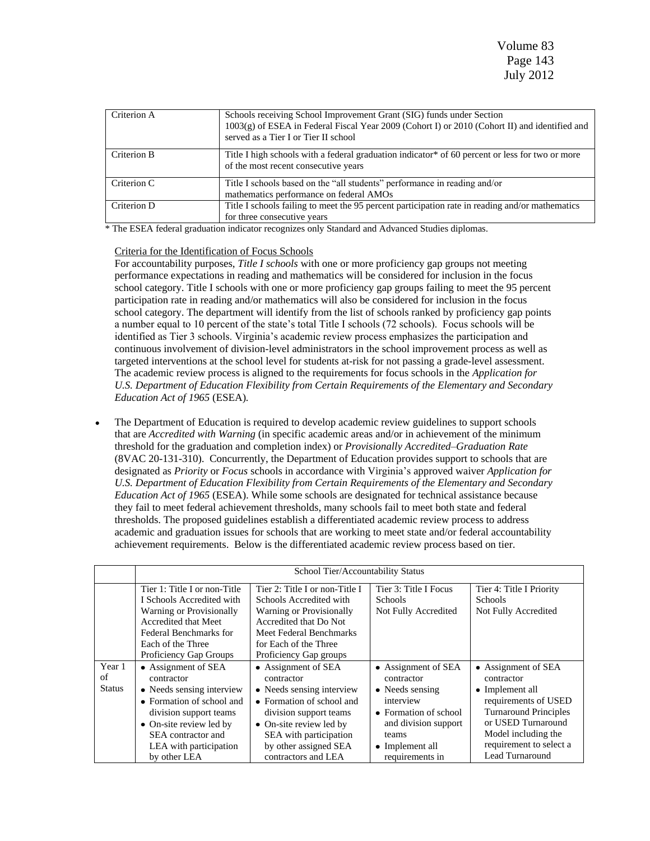| Criterion A | Schools receiving School Improvement Grant (SIG) funds under Section<br>1003(g) of ESEA in Federal Fiscal Year 2009 (Cohort I) or 2010 (Cohort II) and identified and<br>served as a Tier I or Tier II school |
|-------------|---------------------------------------------------------------------------------------------------------------------------------------------------------------------------------------------------------------|
| Criterion B | Title I high schools with a federal graduation indicator <sup>*</sup> of 60 percent or less for two or more<br>of the most recent consecutive years                                                           |
| Criterion C | Title I schools based on the "all students" performance in reading and/or<br>mathematics performance on federal AMOs                                                                                          |
| Criterion D | Title I schools failing to meet the 95 percent participation rate in reading and/or mathematics<br>for three consecutive years                                                                                |

\* The ESEA federal graduation indicator recognizes only Standard and Advanced Studies diplomas.

#### Criteria for the Identification of Focus Schools

For accountability purposes, *Title I schools* with one or more proficiency gap groups not meeting performance expectations in reading and mathematics will be considered for inclusion in the focus school category. Title I schools with one or more proficiency gap groups failing to meet the 95 percent participation rate in reading and/or mathematics will also be considered for inclusion in the focus school category. The department will identify from the list of schools ranked by proficiency gap points a number equal to 10 percent of the state's total Title I schools (72 schools). Focus schools will be identified as Tier 3 schools. Virginia's academic review process emphasizes the participation and continuous involvement of division-level administrators in the school improvement process as well as targeted interventions at the school level for students at-risk for not passing a grade-level assessment. The academic review process is aligned to the requirements for focus schools in the *Application for U.S. Department of Education Flexibility from Certain Requirements of the Elementary and Secondary Education Act of 1965* (ESEA)*.*

The Department of Education is required to develop academic review guidelines to support schools that are *Accredited with Warning* (in specific academic areas and/or in achievement of the minimum threshold for the graduation and completion index) or *Provisionally Accredited–Graduation Rate* (8VAC 20-131-310). Concurrently, the Department of Education provides support to schools that are designated as *Priority* or *Focus* schools in accordance with Virginia's approved waiver *Application for U.S. Department of Education Flexibility from Certain Requirements of the Elementary and Secondary Education Act of 1965* (ESEA). While some schools are designated for technical assistance because they fail to meet federal achievement thresholds, many schools fail to meet both state and federal thresholds. The proposed guidelines establish a differentiated academic review process to address academic and graduation issues for schools that are working to meet state and/or federal accountability achievement requirements. Below is the differentiated academic review process based on tier.

|                               | School Tier/Accountability Status                                                                                                                                                                                |                                                                                                                                                                                                                            |                                                                                                                                                                   |                                                                                                                                                                                                         |
|-------------------------------|------------------------------------------------------------------------------------------------------------------------------------------------------------------------------------------------------------------|----------------------------------------------------------------------------------------------------------------------------------------------------------------------------------------------------------------------------|-------------------------------------------------------------------------------------------------------------------------------------------------------------------|---------------------------------------------------------------------------------------------------------------------------------------------------------------------------------------------------------|
|                               | Tier 1: Title I or non-Title<br>I Schools Accredited with<br><b>Warning or Provisionally</b><br>Accredited that Meet<br>Federal Benchmarks for<br>Each of the Three<br>Proficiency Gap Groups                    | Tier 2: Title I or non-Title I<br>Schools Accredited with<br><b>Warning or Provisionally</b><br>Accredited that Do Not<br>Meet Federal Benchmarks<br>for Each of the Three<br>Proficiency Gap groups                       | Tier 3: Title I Focus<br><b>Schools</b><br>Not Fully Accredited                                                                                                   | Tier 4: Title I Priority<br><b>Schools</b><br>Not Fully Accredited                                                                                                                                      |
| Year 1<br>of<br><b>Status</b> | • Assignment of SEA<br>contractor<br>• Needs sensing interview<br>• Formation of school and<br>division support teams<br>• On-site review led by<br>SEA contractor and<br>LEA with participation<br>by other LEA | • Assignment of SEA<br>contractor<br>• Needs sensing interview<br>• Formation of school and<br>division support teams<br>• On-site review led by<br>SEA with participation<br>by other assigned SEA<br>contractors and LEA | • Assignment of SEA<br>contractor<br>• Needs sensing<br>interview<br>• Formation of school<br>and division support<br>teams<br>• Implement all<br>requirements in | • Assignment of SEA<br>contractor<br>• Implement all<br>requirements of USED<br><b>Turnaround Principles</b><br>or USED Turnaround<br>Model including the<br>requirement to select a<br>Lead Turnaround |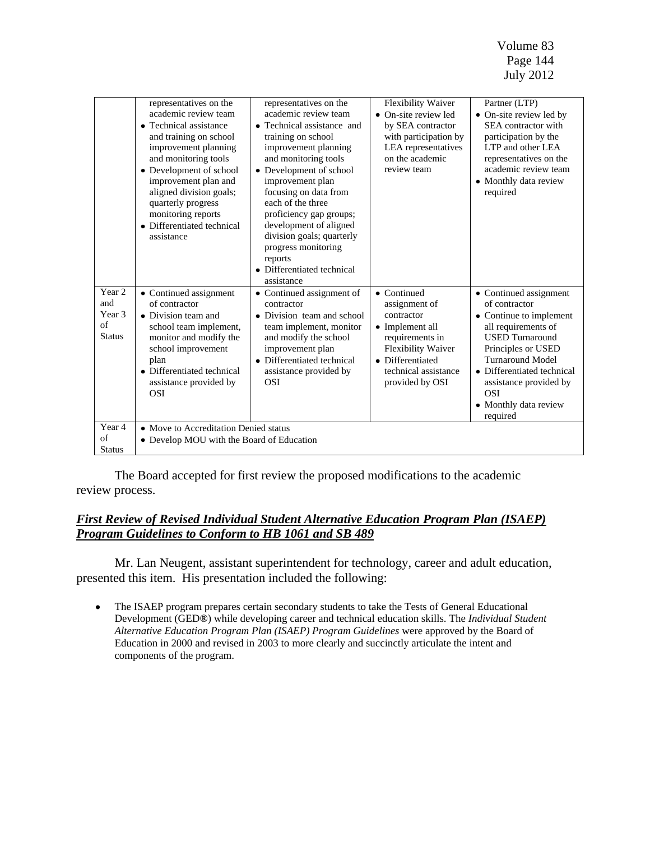Volume 83 Page 144 July 2012

|                                                | representatives on the<br>academic review team<br>• Technical assistance<br>and training on school<br>improvement planning<br>and monitoring tools<br>• Development of school<br>improvement plan and<br>aligned division goals;<br>quarterly progress<br>monitoring reports<br>• Differentiated technical<br>assistance | representatives on the<br>academic review team<br>• Technical assistance and<br>training on school<br>improvement planning<br>and monitoring tools<br>• Development of school<br>improvement plan<br>focusing on data from<br>each of the three<br>proficiency gap groups;<br>development of aligned<br>division goals; quarterly<br>progress monitoring<br>reports<br>• Differentiated technical<br>assistance | Flexibility Waiver<br>• On-site review led<br>by SEA contractor<br>with participation by<br>LEA representatives<br>on the academic<br>review team                                    | Partner (LTP)<br>• On-site review led by<br>SEA contractor with<br>participation by the<br>LTP and other LEA<br>representatives on the<br>academic review team<br>• Monthly data review<br>required                                                                             |
|------------------------------------------------|--------------------------------------------------------------------------------------------------------------------------------------------------------------------------------------------------------------------------------------------------------------------------------------------------------------------------|-----------------------------------------------------------------------------------------------------------------------------------------------------------------------------------------------------------------------------------------------------------------------------------------------------------------------------------------------------------------------------------------------------------------|--------------------------------------------------------------------------------------------------------------------------------------------------------------------------------------|---------------------------------------------------------------------------------------------------------------------------------------------------------------------------------------------------------------------------------------------------------------------------------|
| Year 2<br>and<br>Year 3<br>of<br><b>Status</b> | • Continued assignment<br>of contractor<br>• Division team and<br>school team implement,<br>monitor and modify the<br>school improvement<br>plan<br>• Differentiated technical<br>assistance provided by<br><b>OSI</b>                                                                                                   | • Continued assignment of<br>contractor<br>• Division team and school<br>team implement, monitor<br>and modify the school<br>improvement plan<br>• Differentiated technical<br>assistance provided by<br><b>OSI</b>                                                                                                                                                                                             | $\bullet$ Continued<br>assignment of<br>contractor<br>• Implement all<br>requirements in<br><b>Flexibility Waiver</b><br>• Differentiated<br>technical assistance<br>provided by OSI | • Continued assignment<br>of contractor<br>• Continue to implement<br>all requirements of<br><b>USED</b> Turnaround<br>Principles or USED<br><b>Turnaround Model</b><br>• Differentiated technical<br>assistance provided by<br><b>OSI</b><br>• Monthly data review<br>required |
| Year 4<br>of<br><b>Status</b>                  | • Move to Accreditation Denied status<br>• Develop MOU with the Board of Education                                                                                                                                                                                                                                       |                                                                                                                                                                                                                                                                                                                                                                                                                 |                                                                                                                                                                                      |                                                                                                                                                                                                                                                                                 |

The Board accepted for first review the proposed modifications to the academic review process.

## *First Review of Revised Individual Student Alternative Education Program Plan (ISAEP) Program Guidelines to Conform to HB 1061 and SB 489*

Mr. Lan Neugent, assistant superintendent for technology, career and adult education, presented this item. His presentation included the following:

 $\bullet$ The ISAEP program prepares certain secondary students to take the Tests of General Educational Development (GED**®**) while developing career and technical education skills. The *Individual Student Alternative Education Program Plan (ISAEP) Program Guidelines* were approved by the Board of Education in 2000 and revised in 2003 to more clearly and succinctly articulate the intent and components of the program.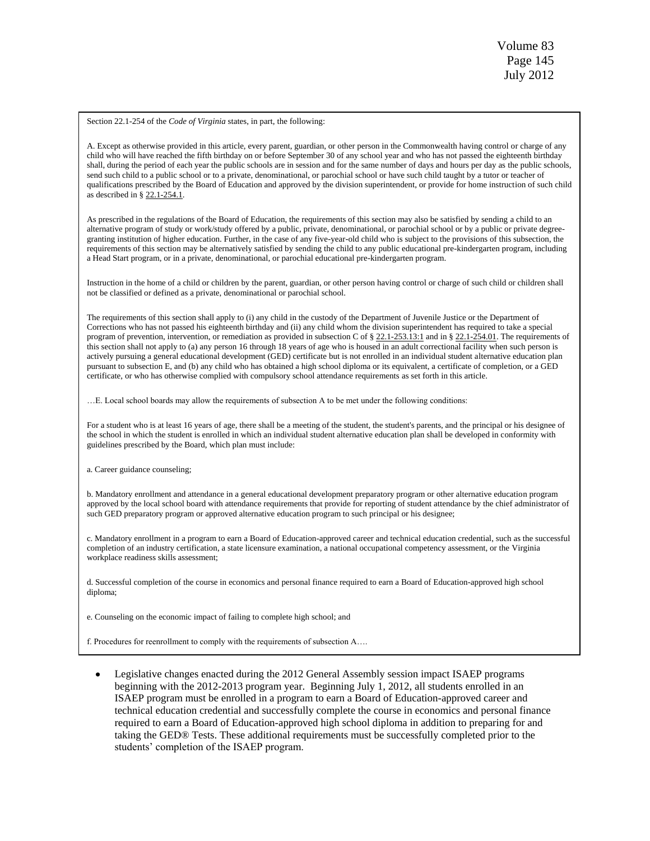Section 22.1-254 of the *Code of Virginia* states, in part, the following:

A. Except as otherwise provided in this article, every parent, guardian, or other person in the Commonwealth having control or charge of any child who will have reached the fifth birthday on or before September 30 of any school year and who has not passed the eighteenth birthday shall, during the period of each year the public schools are in session and for the same number of days and hours per day as the public schools, send such child to a public school or to a private, denominational, or parochial school or have such child taught by a tutor or teacher of qualifications prescribed by the Board of Education and approved by the division superintendent, or provide for home instruction of such child as described in [§ 22.1-254.1.](http://leg1.state.va.us/cgi-bin/legp504.exe?000+cod+22.1-254.1)

As prescribed in the regulations of the Board of Education, the requirements of this section may also be satisfied by sending a child to an alternative program of study or work/study offered by a public, private, denominational, or parochial school or by a public or private degreegranting institution of higher education. Further, in the case of any five-year-old child who is subject to the provisions of this subsection, the requirements of this section may be alternatively satisfied by sending the child to any public educational pre-kindergarten program, including a Head Start program, or in a private, denominational, or parochial educational pre-kindergarten program.

Instruction in the home of a child or children by the parent, guardian, or other person having control or charge of such child or children shall not be classified or defined as a private, denominational or parochial school.

The requirements of this section shall apply to (i) any child in the custody of the Department of Juvenile Justice or the Department of Corrections who has not passed his eighteenth birthday and (ii) any child whom the division superintendent has required to take a special program of prevention, intervention, or remediation as provided in subsection C of [§ 22.1-253.13:1](http://leg1.state.va.us/cgi-bin/legp504.exe?000+cod+22.1-253.13C1) and in [§ 22.1-254.01.](http://leg1.state.va.us/cgi-bin/legp504.exe?000+cod+22.1-254.01) The requirements of this section shall not apply to (a) any person 16 through 18 years of age who is housed in an adult correctional facility when such person is actively pursuing a general educational development (GED) certificate but is not enrolled in an individual student alternative education plan pursuant to subsection E, and (b) any child who has obtained a high school diploma or its equivalent, a certificate of completion, or a GED certificate, or who has otherwise complied with compulsory school attendance requirements as set forth in this article.

…E. Local school boards may allow the requirements of subsection A to be met under the following conditions:

For a student who is at least 16 years of age, there shall be a meeting of the student, the student's parents, and the principal or his designee of the school in which the student is enrolled in which an individual student alternative education plan shall be developed in conformity with guidelines prescribed by the Board, which plan must include:

a. Career guidance counseling;

b. Mandatory enrollment and attendance in a general educational development preparatory program or other alternative education program approved by the local school board with attendance requirements that provide for reporting of student attendance by the chief administrator of such GED preparatory program or approved alternative education program to such principal or his designee;

c. Mandatory enrollment in a program to earn a Board of Education-approved career and technical education credential, such as the successful completion of an industry certification, a state licensure examination, a national occupational competency assessment, or the Virginia workplace readiness skills assessment;

d. Successful completion of the course in economics and personal finance required to earn a Board of Education-approved high school diploma;

e. Counseling on the economic impact of failing to complete high school; and

f. Procedures for reenrollment to comply with the requirements of subsection A….

Legislative changes enacted during the 2012 General Assembly session impact ISAEP programs beginning with the 2012-2013 program year. Beginning July 1, 2012, all students enrolled in an ISAEP program must be enrolled in a program to earn a Board of Education-approved career and technical education credential and successfully complete the course in economics and personal finance required to earn a Board of Education-approved high school diploma in addition to preparing for and taking the GED® Tests. These additional requirements must be successfully completed prior to the students' completion of the ISAEP program.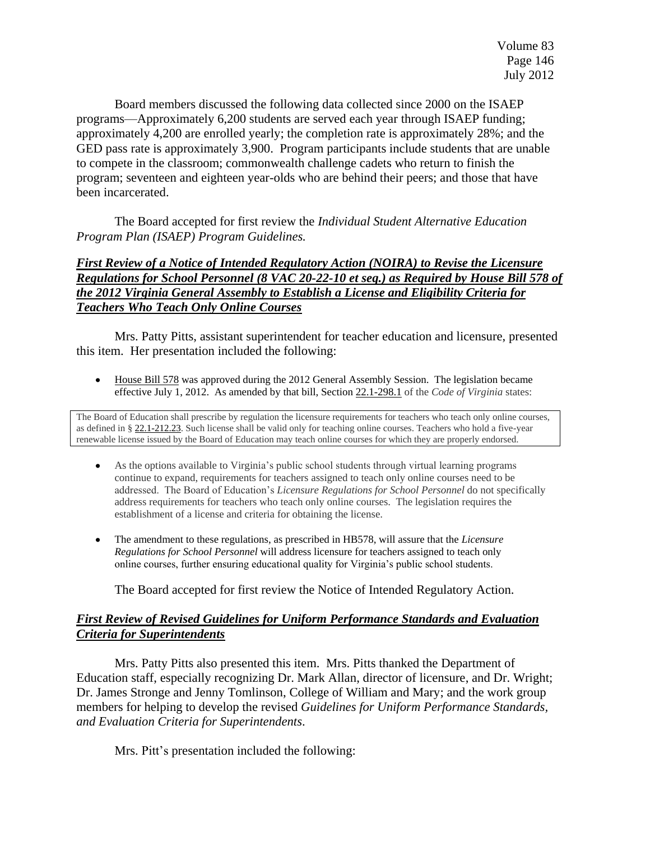Board members discussed the following data collected since 2000 on the ISAEP programs—Approximately 6,200 students are served each year through ISAEP funding; approximately 4,200 are enrolled yearly; the completion rate is approximately 28%; and the GED pass rate is approximately 3,900. Program participants include students that are unable to compete in the classroom; commonwealth challenge cadets who return to finish the program; seventeen and eighteen year-olds who are behind their peers; and those that have been incarcerated.

The Board accepted for first review the *Individual Student Alternative Education Program Plan (ISAEP) Program Guidelines.*

# *First Review of a Notice of Intended Regulatory Action (NOIRA) to Revise the Licensure Regulations for School Personnel (8 VAC 20-22-10 et seq.) as Required by House Bill 578 of the 2012 Virginia General Assembly to Establish a License and Eligibility Criteria for Teachers Who Teach Only Online Courses*

Mrs. Patty Pitts, assistant superintendent for teacher education and licensure, presented this item. Her presentation included the following:

[House](http://lis.virginia.gov/cgi-bin/legp604.exe?121+sum+HB578) Bill 578 was approved during the 2012 General Assembly Session. The legislation became  $\bullet$ effective July 1, 2012. As amended by that bill, Section [22.1-298.1](http://lis.virginia.gov/cgi-bin/legp604.exe?000+cod+22.1-298.1) of the *Code of Virginia* states:

The Board of Education shall prescribe by regulation the licensure requirements for teachers who teach only online courses, as defined in § [22.1-212.23.](http://lis.virginia.gov/cgi-bin/legp604.exe?000+cod+22.1-212.23) Such license shall be valid only for teaching online courses. Teachers who hold a five-year renewable license issued by the Board of Education may teach online courses for which they are properly endorsed.

- As the options available to Virginia's public school students through virtual learning programs  $\bullet$ continue to expand, requirements for teachers assigned to teach only online courses need to be addressed. The Board of Education's *Licensure Regulations for School Personnel* do not specifically address requirements for teachers who teach only online courses. The legislation requires the establishment of a license and criteria for obtaining the license.
- The amendment to these regulations, as prescribed in HB578, will assure that the *Licensure Regulations for School Personnel* will address licensure for teachers assigned to teach only online courses, further ensuring educational quality for Virginia's public school students.

The Board accepted for first review the Notice of Intended Regulatory Action.

## *First Review of Revised Guidelines for Uniform Performance Standards and Evaluation Criteria for Superintendents*

Mrs. Patty Pitts also presented this item. Mrs. Pitts thanked the Department of Education staff, especially recognizing Dr. Mark Allan, director of licensure, and Dr. Wright; Dr. James Stronge and Jenny Tomlinson, College of William and Mary; and the work group members for helping to develop the revised *Guidelines for Uniform Performance Standards, and Evaluation Criteria for Superintendents*.

Mrs. Pitt's presentation included the following: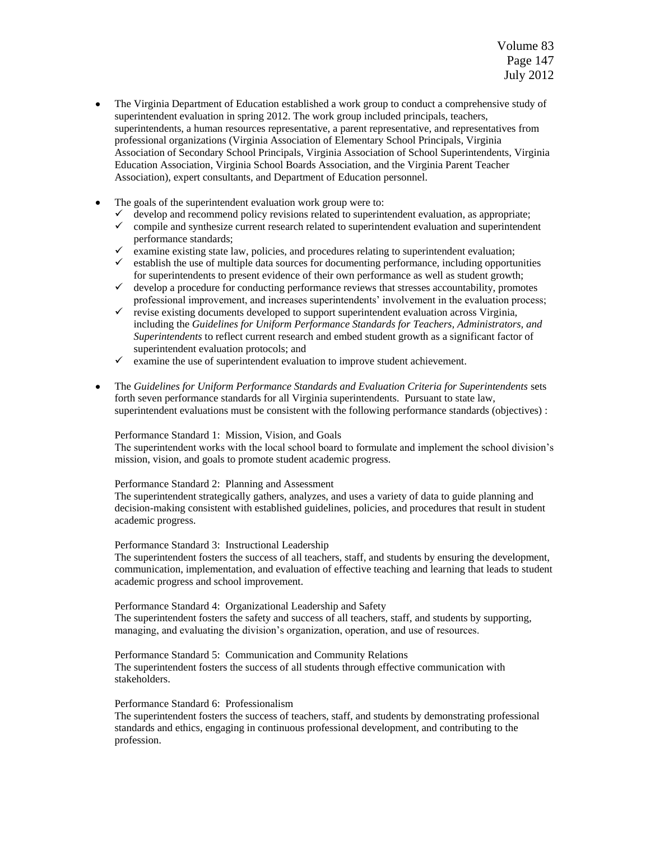- The Virginia Department of Education established a work group to conduct a comprehensive study of superintendent evaluation in spring 2012. The work group included principals, teachers, superintendents, a human resources representative, a parent representative, and representatives from professional organizations (Virginia Association of Elementary School Principals, Virginia Association of Secondary School Principals, Virginia Association of School Superintendents, Virginia Education Association, Virginia School Boards Association, and the Virginia Parent Teacher Association), expert consultants, and Department of Education personnel.
- The goals of the superintendent evaluation work group were to:
	- $\checkmark$  develop and recommend policy revisions related to superintendent evaluation, as appropriate;
	- $\checkmark$  compile and synthesize current research related to superintendent evaluation and superintendent performance standards;
	- $\checkmark$  examine existing state law, policies, and procedures relating to superintendent evaluation;
	- $\checkmark$  establish the use of multiple data sources for documenting performance, including opportunities for superintendents to present evidence of their own performance as well as student growth;
	- $\checkmark$  develop a procedure for conducting performance reviews that stresses accountability, promotes professional improvement, and increases superintendents' involvement in the evaluation process;
	- $\checkmark$  revise existing documents developed to support superintendent evaluation across Virginia, including the *Guidelines for Uniform Performance Standards for Teachers, Administrators, and Superintendents* to reflect current research and embed student growth as a significant factor of superintendent evaluation protocols; and
	- $\checkmark$  examine the use of superintendent evaluation to improve student achievement.
- The *Guidelines for Uniform Performance Standards and Evaluation Criteria for Superintendents* sets forth seven performance standards for all Virginia superintendents. Pursuant to state law, superintendent evaluations must be consistent with the following performance standards (objectives) :

Performance Standard 1: Mission, Vision, and Goals

The superintendent works with the local school board to formulate and implement the school division's mission, vision, and goals to promote student academic progress.

#### Performance Standard 2: Planning and Assessment

The superintendent strategically gathers, analyzes, and uses a variety of data to guide planning and decision-making consistent with established guidelines, policies, and procedures that result in student academic progress.

#### Performance Standard 3: Instructional Leadership

The superintendent fosters the success of all teachers, staff, and students by ensuring the development, communication, implementation, and evaluation of effective teaching and learning that leads to student academic progress and school improvement.

Performance Standard 4: Organizational Leadership and Safety The superintendent fosters the safety and success of all teachers, staff, and students by supporting, managing, and evaluating the division's organization, operation, and use of resources.

Performance Standard 5: Communication and Community Relations The superintendent fosters the success of all students through effective communication with stakeholders.

#### Performance Standard 6: Professionalism

The superintendent fosters the success of teachers, staff, and students by demonstrating professional standards and ethics, engaging in continuous professional development, and contributing to the profession.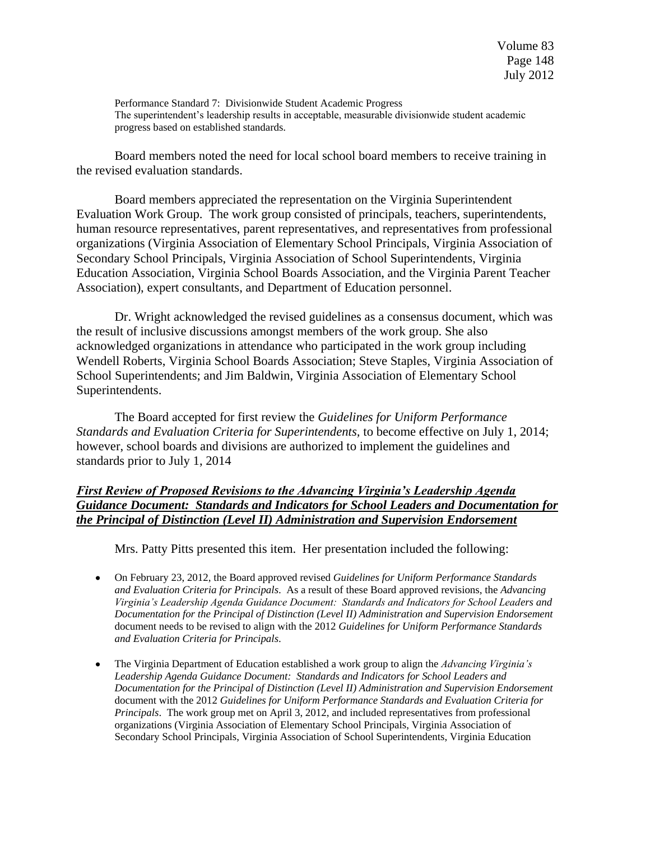Performance Standard 7: Divisionwide Student Academic Progress The superintendent's leadership results in acceptable, measurable divisionwide student academic progress based on established standards.

Board members noted the need for local school board members to receive training in the revised evaluation standards.

Board members appreciated the representation on the Virginia Superintendent Evaluation Work Group. The work group consisted of principals, teachers, superintendents, human resource representatives, parent representatives, and representatives from professional organizations (Virginia Association of Elementary School Principals, Virginia Association of Secondary School Principals, Virginia Association of School Superintendents, Virginia Education Association, Virginia School Boards Association, and the Virginia Parent Teacher Association), expert consultants, and Department of Education personnel.

Dr. Wright acknowledged the revised guidelines as a consensus document, which was the result of inclusive discussions amongst members of the work group. She also acknowledged organizations in attendance who participated in the work group including Wendell Roberts, Virginia School Boards Association; Steve Staples, Virginia Association of School Superintendents; and Jim Baldwin, Virginia Association of Elementary School Superintendents.

The Board accepted for first review the *Guidelines for Uniform Performance Standards and Evaluation Criteria for Superintendents,* to become effective on July 1, 2014; however, school boards and divisions are authorized to implement the guidelines and standards prior to July 1, 2014

# *First Review of Proposed Revisions to the Advancing Virginia's Leadership Agenda Guidance Document: Standards and Indicators for School Leaders and Documentation for the Principal of Distinction (Level II) Administration and Supervision Endorsement*

Mrs. Patty Pitts presented this item. Her presentation included the following:

- On February 23, 2012, the Board approved revised *Guidelines for Uniform Performance Standards and Evaluation Criteria for Principals*. As a result of these Board approved revisions, the *Advancing Virginia's Leadership Agenda Guidance Document: Standards and Indicators for School Leaders and Documentation for the Principal of Distinction (Level II) Administration and Supervision Endorsement*  document needs to be revised to align with the 2012 *Guidelines for Uniform Performance Standards and Evaluation Criteria for Principals*.
- The Virginia Department of Education established a work group to align the *Advancing Virginia's Leadership Agenda Guidance Document: Standards and Indicators for School Leaders and Documentation for the Principal of Distinction (Level II) Administration and Supervision Endorsement*  document with the 2012 *Guidelines for Uniform Performance Standards and Evaluation Criteria for Principals*. The work group met on April 3, 2012, and included representatives from professional organizations (Virginia Association of Elementary School Principals, Virginia Association of Secondary School Principals, Virginia Association of School Superintendents, Virginia Education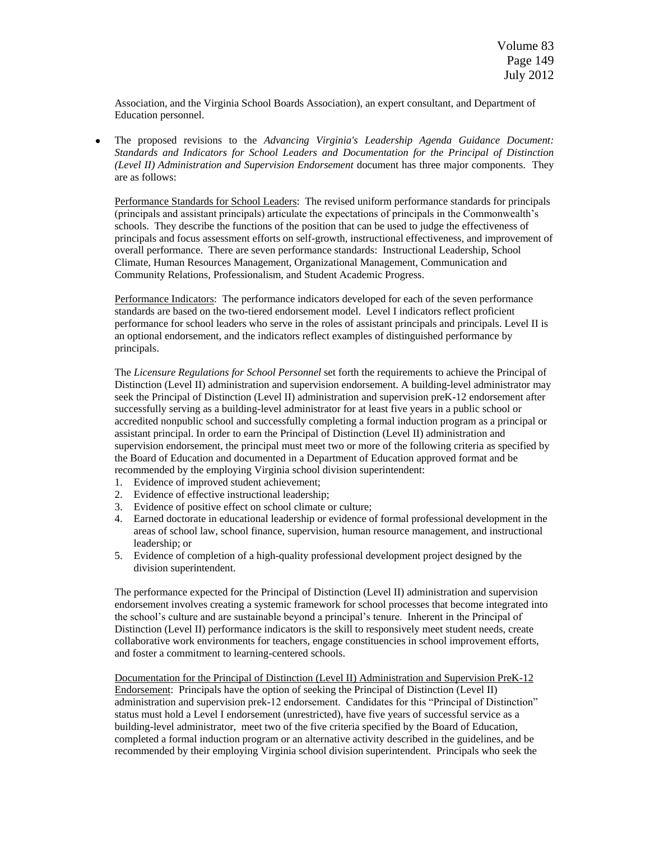Association, and the Virginia School Boards Association), an expert consultant, and Department of Education personnel.

The proposed revisions to the *Advancing Virginia's Leadership Agenda Guidance Document: Standards and Indicators for School Leaders and Documentation for the Principal of Distinction (Level II) Administration and Supervision Endorsement* document has three major components. They are as follows:

Performance Standards for School Leaders: The revised uniform performance standards for principals (principals and assistant principals) articulate the expectations of principals in the Commonwealth's schools. They describe the functions of the position that can be used to judge the effectiveness of principals and focus assessment efforts on self-growth, instructional effectiveness, and improvement of overall performance. There are seven performance standards: Instructional Leadership, School Climate, Human Resources Management, Organizational Management, Communication and Community Relations, Professionalism, and Student Academic Progress.

Performance Indicators: The performance indicators developed for each of the seven performance standards are based on the two-tiered endorsement model. Level I indicators reflect proficient performance for school leaders who serve in the roles of assistant principals and principals. Level II is an optional endorsement, and the indicators reflect examples of distinguished performance by principals.

The *Licensure Regulations for School Personnel* set forth the requirements to achieve the Principal of Distinction (Level II) administration and supervision endorsement. A building-level administrator may seek the Principal of Distinction (Level II) administration and supervision preK-12 endorsement after successfully serving as a building-level administrator for at least five years in a public school or accredited nonpublic school and successfully completing a formal induction program as a principal or assistant principal. In order to earn the Principal of Distinction (Level II) administration and supervision endorsement, the principal must meet two or more of the following criteria as specified by the Board of Education and documented in a Department of Education approved format and be recommended by the employing Virginia school division superintendent:

- 1. Evidence of improved student achievement;
- 2. Evidence of effective instructional leadership;
- 3. Evidence of positive effect on school climate or culture;
- 4. Earned doctorate in educational leadership or evidence of formal professional development in the areas of school law, school finance, supervision, human resource management, and instructional leadership; or
- 5. Evidence of completion of a high-quality professional development project designed by the division superintendent.

The performance expected for the Principal of Distinction (Level II) administration and supervision endorsement involves creating a systemic framework for school processes that become integrated into the school's culture and are sustainable beyond a principal's tenure. Inherent in the Principal of Distinction (Level II) performance indicators is the skill to responsively meet student needs, create collaborative work environments for teachers, engage constituencies in school improvement efforts, and foster a commitment to learning-centered schools.

Documentation for the Principal of Distinction (Level II) Administration and Supervision PreK-12 Endorsement:Principals have the option of seeking the Principal of Distinction (Level II) administration and supervision prek-12 endorsement. Candidates for this "Principal of Distinction" status must hold a Level I endorsement (unrestricted), have five years of successful service as a building-level administrator, meet two of the five criteria specified by the Board of Education, completed a formal induction program or an alternative activity described in the guidelines, and be recommended by their employing Virginia school division superintendent. Principals who seek the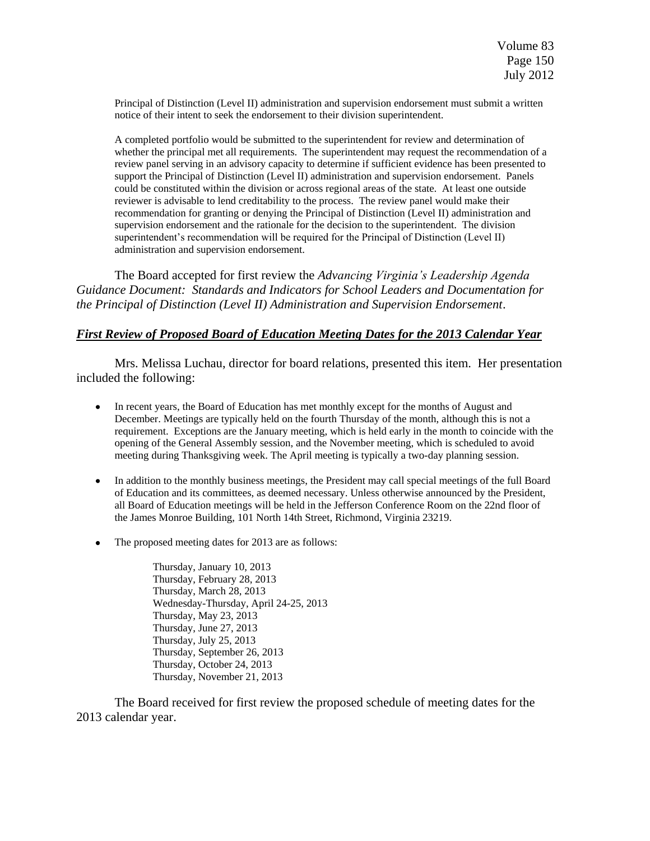Principal of Distinction (Level II) administration and supervision endorsement must submit a written notice of their intent to seek the endorsement to their division superintendent.

A completed portfolio would be submitted to the superintendent for review and determination of whether the principal met all requirements. The superintendent may request the recommendation of a review panel serving in an advisory capacity to determine if sufficient evidence has been presented to support the Principal of Distinction (Level II) administration and supervision endorsement. Panels could be constituted within the division or across regional areas of the state. At least one outside reviewer is advisable to lend creditability to the process. The review panel would make their recommendation for granting or denying the Principal of Distinction (Level II) administration and supervision endorsement and the rationale for the decision to the superintendent. The division superintendent's recommendation will be required for the Principal of Distinction (Level II) administration and supervision endorsement.

The Board accepted for first review the *Advancing Virginia's Leadership Agenda Guidance Document: Standards and Indicators for School Leaders and Documentation for the Principal of Distinction (Level II) Administration and Supervision Endorsement*.

### *First Review of Proposed Board of Education Meeting Dates for the 2013 Calendar Year*

Mrs. Melissa Luchau, director for board relations, presented this item. Her presentation included the following:

- In recent years, the Board of Education has met monthly except for the months of August and December. Meetings are typically held on the fourth Thursday of the month, although this is not a requirement. Exceptions are the January meeting, which is held early in the month to coincide with the opening of the General Assembly session, and the November meeting, which is scheduled to avoid meeting during Thanksgiving week. The April meeting is typically a two-day planning session.
- In addition to the monthly business meetings, the President may call special meetings of the full Board of Education and its committees, as deemed necessary. Unless otherwise announced by the President, all Board of Education meetings will be held in the Jefferson Conference Room on the 22nd floor of the James Monroe Building, 101 North 14th Street, Richmond, Virginia 23219.
- The proposed meeting dates for 2013 are as follows:

Thursday, January 10, 2013 Thursday, February 28, 2013 Thursday, March 28, 2013 Wednesday-Thursday, April 24-25, 2013 Thursday, May 23, 2013 Thursday, June 27, 2013 Thursday, July 25, 2013 Thursday, September 26, 2013 Thursday, October 24, 2013 Thursday, November 21, 2013

The Board received for first review the proposed schedule of meeting dates for the 2013 calendar year.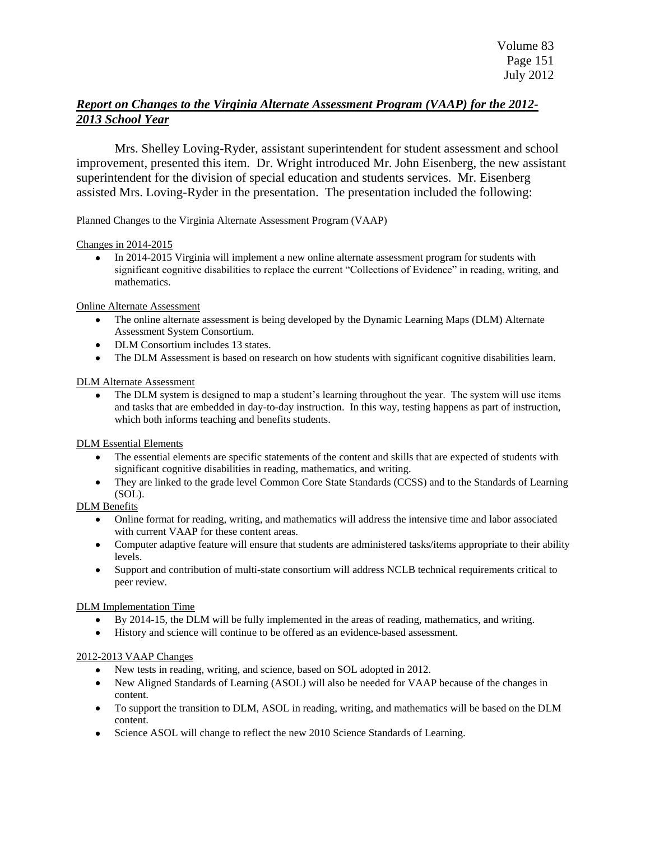# *Report on Changes to the Virginia Alternate Assessment Program (VAAP) for the 2012- 2013 School Year*

Mrs. Shelley Loving-Ryder, assistant superintendent for student assessment and school improvement, presented this item. Dr. Wright introduced Mr. John Eisenberg, the new assistant superintendent for the division of special education and students services. Mr. Eisenberg assisted Mrs. Loving-Ryder in the presentation. The presentation included the following:

Planned Changes to the Virginia Alternate Assessment Program (VAAP)

#### Changes in 2014-2015

In 2014-2015 Virginia will implement a new online alternate assessment program for students with significant cognitive disabilities to replace the current "Collections of Evidence" in reading, writing, and mathematics.

#### Online Alternate Assessment

- The online alternate assessment is being developed by the Dynamic Learning Maps (DLM) Alternate Assessment System Consortium.
- DLM Consortium includes 13 states.
- The DLM Assessment is based on research on how students with significant cognitive disabilities learn.

#### DLM Alternate Assessment

• The DLM system is designed to map a student's learning throughout the year. The system will use items and tasks that are embedded in day-to-day instruction. In this way, testing happens as part of instruction, which both informs teaching and benefits students.

#### DLM Essential Elements

- The essential elements are specific statements of the content and skills that are expected of students with significant cognitive disabilities in reading, mathematics, and writing.
- They are linked to the grade level Common Core State Standards (CCSS) and to the Standards of Learning  $\bullet$ (SOL).

### DLM Benefits

- Online format for reading, writing, and mathematics will address the intensive time and labor associated with current VAAP for these content areas.
- Computer adaptive feature will ensure that students are administered tasks/items appropriate to their ability levels.
- Support and contribution of multi-state consortium will address NCLB technical requirements critical to  $\bullet$ peer review.

### DLM Implementation Time

- By 2014-15, the DLM will be fully implemented in the areas of reading, mathematics, and writing.
- History and science will continue to be offered as an evidence-based assessment.  $\bullet$

#### 2012-2013 VAAP Changes

- New tests in reading, writing, and science, based on SOL adopted in 2012.
- New Aligned Standards of Learning (ASOL) will also be needed for VAAP because of the changes in content.
- To support the transition to DLM, ASOL in reading, writing, and mathematics will be based on the DLM content.
- Science ASOL will change to reflect the new 2010 Science Standards of Learning.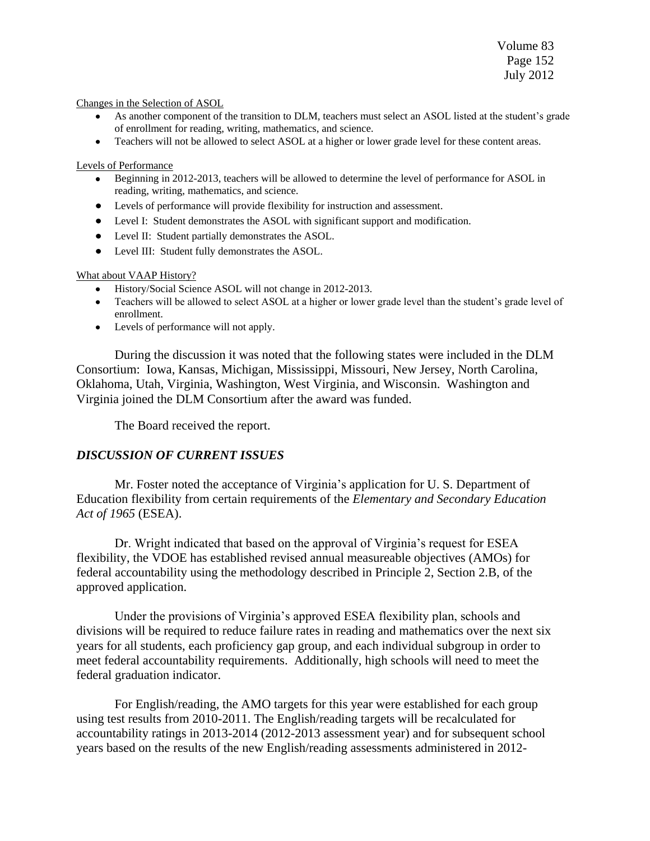Volume 83 Page 152 July 2012

#### Changes in the Selection of ASOL

- As another component of the transition to DLM, teachers must select an ASOL listed at the student's grade of enrollment for reading, writing, mathematics, and science.
- Teachers will not be allowed to select ASOL at a higher or lower grade level for these content areas.

#### Levels of Performance

- Beginning in 2012-2013, teachers will be allowed to determine the level of performance for ASOL in reading, writing, mathematics, and science.
- Levels of performance will provide flexibility for instruction and assessment.
- Level I: Student demonstrates the ASOL with significant support and modification.
- Level II: Student partially demonstrates the ASOL.
- Level III: Student fully demonstrates the ASOL.

#### What about VAAP History?

- History/Social Science ASOL will not change in 2012-2013.
- Teachers will be allowed to select ASOL at a higher or lower grade level than the student's grade level of enrollment.
- Levels of performance will not apply.

During the discussion it was noted that the following states were included in the DLM Consortium: Iowa, Kansas, Michigan, Mississippi, Missouri, New Jersey, North Carolina, Oklahoma, Utah, Virginia, Washington, West Virginia, and Wisconsin. Washington and Virginia joined the DLM Consortium after the award was funded.

The Board received the report.

### *DISCUSSION OF CURRENT ISSUES*

Mr. Foster noted the acceptance of Virginia's application for U. S. Department of Education flexibility from certain requirements of the *Elementary and Secondary Education Act of 1965* (ESEA).

Dr. Wright indicated that based on the approval of Virginia's request for ESEA flexibility, the VDOE has established revised annual measureable objectives (AMOs) for federal accountability using the methodology described in Principle 2, Section 2.B, of the approved application.

Under the provisions of Virginia's approved ESEA flexibility plan, schools and divisions will be required to reduce failure rates in reading and mathematics over the next six years for all students, each proficiency gap group, and each individual subgroup in order to meet federal accountability requirements. Additionally, high schools will need to meet the federal graduation indicator.

For English/reading, the AMO targets for this year were established for each group using test results from 2010-2011. The English/reading targets will be recalculated for accountability ratings in 2013-2014 (2012-2013 assessment year) and for subsequent school years based on the results of the new English/reading assessments administered in 2012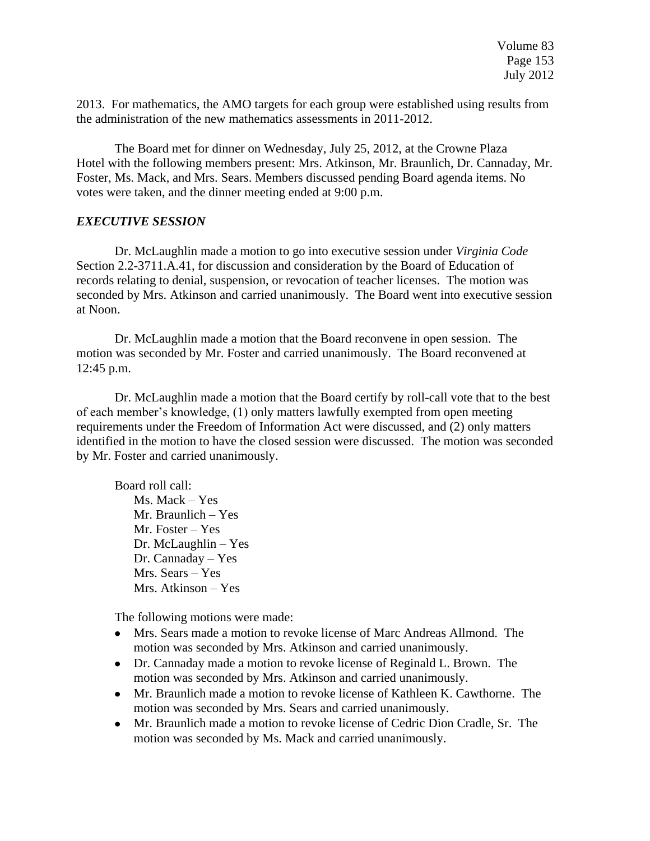2013. For mathematics, the AMO targets for each group were established using results from the administration of the new mathematics assessments in 2011-2012.

The Board met for dinner on Wednesday, July 25, 2012, at the Crowne Plaza Hotel with the following members present: Mrs. Atkinson, Mr. Braunlich, Dr. Cannaday, Mr. Foster, Ms. Mack, and Mrs. Sears. Members discussed pending Board agenda items. No votes were taken, and the dinner meeting ended at 9:00 p.m.

## *EXECUTIVE SESSION*

Dr. McLaughlin made a motion to go into executive session under *Virginia Code* Section 2.2-3711.A.41, for discussion and consideration by the Board of Education of records relating to denial, suspension, or revocation of teacher licenses. The motion was seconded by Mrs. Atkinson and carried unanimously. The Board went into executive session at Noon.

Dr. McLaughlin made a motion that the Board reconvene in open session. The motion was seconded by Mr. Foster and carried unanimously. The Board reconvened at 12:45 p.m.

Dr. McLaughlin made a motion that the Board certify by roll-call vote that to the best of each member's knowledge, (1) only matters lawfully exempted from open meeting requirements under the Freedom of Information Act were discussed, and (2) only matters identified in the motion to have the closed session were discussed. The motion was seconded by Mr. Foster and carried unanimously.

Board roll call: Ms. Mack – Yes Mr. Braunlich – Yes Mr. Foster – Yes Dr. McLaughlin – Yes Dr. Cannaday – Yes Mrs. Sears – Yes Mrs. Atkinson – Yes

The following motions were made:

- Mrs. Sears made a motion to revoke license of Marc Andreas Allmond. The motion was seconded by Mrs. Atkinson and carried unanimously.
- Dr. Cannaday made a motion to revoke license of Reginald L. Brown. The motion was seconded by Mrs. Atkinson and carried unanimously.
- Mr. Braunlich made a motion to revoke license of Kathleen K. Cawthorne. The motion was seconded by Mrs. Sears and carried unanimously.
- Mr. Braunlich made a motion to revoke license of Cedric Dion Cradle, Sr. The motion was seconded by Ms. Mack and carried unanimously.